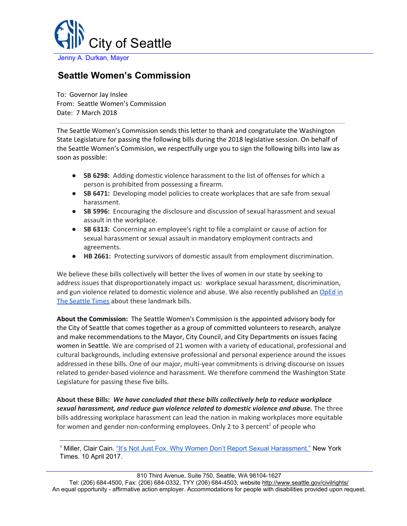

## **Seattle Women's Commission**

To: Governor Jay Inslee From: Seattle Women's Commission Date: 7 March 2018

The Seattle Women's Commission sends this letter to thank and congratulate the Washington State Legislature for passing the following bills during the 2018 legislative session. On behalf of the Seattle Women's Commision, we respectfully urge you to sign the following bills into law as soon as possible:

- **SB 6298:** Adding domestic violence harassment to the list of offenses for which a person is prohibited from possessing a firearm.
- **SB 6471:** Developing model policies to create workplaces that are safe from sexual harassment.
- **SB 5996:** Encouraging the disclosure and discussion of sexual harassment and sexual assault in the workplace.
- **SB 6313:** Concerning an employee's right to file a complaint or cause of action for sexual harassment or sexual assault in mandatory employment contracts and agreements.
- **HB 2661:** Protecting survivors of domestic assault from employment discrimination.

We believe these bills collectively will better the lives of women in our state by seeking to address issues that disproportionately impact us: workplace sexual harassment, discrimination, and gun violence related to domestic violence and abuse. We also recently published an [OpEd](https://www.seattletimes.com/opinion/michele-frix-op-ed-5-bills-womens-rights/) in The [Seattle](https://www.seattletimes.com/opinion/michele-frix-op-ed-5-bills-womens-rights/) Times about these landmark bills.

**About the Commission:** The Seattle Women's Commission is the appointed advisory body for the City of Seattle that comes together as a group of committed volunteers to research, analyze and make recommendations to the Mayor, City Council, and City Departments on issues facing women in Seattle. We are comprised of 21 women with a variety of educational, professional and cultural backgrounds, including extensive professional and personal experience around the issues addressed in these bills. One of our major, multi-year commitments is driving discourse on issues related to gender-based violence and harassment. We therefore commend the Washington State Legislature for passing these five bills.

**About these Bills:** *We have concluded that these bills collectively help to reduce workplace sexual harassment, and reduce gun violence related to domestic violence and abuse.* The three bills addressing workplace harassment can lead the nation in making workplaces more equitable for women and gender non-conforming employees. Only 2 to 3 percent<sup>1</sup> of people who

<sup>1</sup> Miller, Clair Cain. "It's Not Just Fox. Why Women Don't Report Sexual [Harassment."](https://www.nytimes.com/2017/04/10/upshot/its-not-just-fox-why-women-dont-report-sexual-harassment.html) New York Times. 10 April 2017.

Tel: (206) 684-4500, Fax: (206) 684-0332, TYY (206) 684-4503, website<http://www.seattle.gov/civilrights/> An equal opportunity - affirmative action employer. Accommodations for people with disabilities provided upon request.